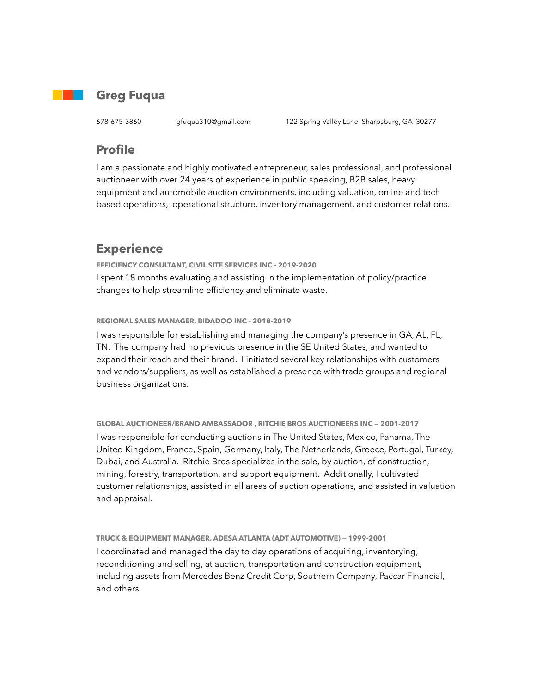

#### **Greg Fuqua**

678-675-3860 [gfuqua310@gmail.com](mailto:gatarac@yahoo.com) 122 Spring Valley Lane Sharpsburg, GA 30277

### **Profile**

I am a passionate and highly motivated entrepreneur, sales professional, and professional auctioneer with over 24 years of experience in public speaking, B2B sales, heavy equipment and automobile auction environments, including valuation, online and tech based operations, operational structure, inventory management, and customer relations.

# **Experience**

**EFFICIENCY CONSULTANT, CIVIL SITE SERVICES INC - 2019-2020**  I spent 18 months evaluating and assisting in the implementation of policy/practice changes to help streamline efficiency and eliminate waste.

**REGIONAL SALES MANAGER, BIDADOO INC - 2018-2019** 

I was responsible for establishing and managing the company's presence in GA, AL, FL, TN. The company had no previous presence in the SE United States, and wanted to expand their reach and their brand. I initiated several key relationships with customers and vendors/suppliers, as well as established a presence with trade groups and regional business organizations.

#### **GLOBAL AUCTIONEER/BRAND AMBASSADOR , RITCHIE BROS AUCTIONEERS INC — 2001-2017**

I was responsible for conducting auctions in The United States, Mexico, Panama, The United Kingdom, France, Spain, Germany, Italy, The Netherlands, Greece, Portugal, Turkey, Dubai, and Australia. Ritchie Bros specializes in the sale, by auction, of construction, mining, forestry, transportation, and support equipment. Additionally, I cultivated customer relationships, assisted in all areas of auction operations, and assisted in valuation and appraisal.

**TRUCK & EQUIPMENT MANAGER, ADESA ATLANTA (ADT AUTOMOTIVE) — 1999-2001**  I coordinated and managed the day to day operations of acquiring, inventorying, reconditioning and selling, at auction, transportation and construction equipment, including assets from Mercedes Benz Credit Corp, Southern Company, Paccar Financial, and others.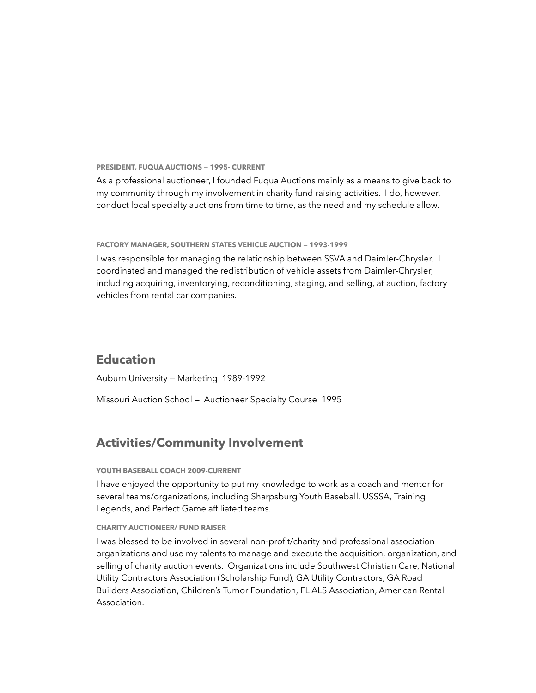**PRESIDENT, FUQUA AUCTIONS — 1995- CURRENT** 

As a professional auctioneer, I founded Fuqua Auctions mainly as a means to give back to my community through my involvement in charity fund raising activities. I do, however, conduct local specialty auctions from time to time, as the need and my schedule allow.

**FACTORY MANAGER, SOUTHERN STATES VEHICLE AUCTION — 1993-1999** 

I was responsible for managing the relationship between SSVA and Daimler-Chrysler. I coordinated and managed the redistribution of vehicle assets from Daimler-Chrysler, including acquiring, inventorying, reconditioning, staging, and selling, at auction, factory vehicles from rental car companies.

# **Education**

Auburn University — Marketing 1989-1992

Missouri Auction School — Auctioneer Specialty Course 1995

## **Activities/Community Involvement**

#### **YOUTH BASEBALL COACH 2009-CURRENT**

I have enjoyed the opportunity to put my knowledge to work as a coach and mentor for several teams/organizations, including Sharpsburg Youth Baseball, USSSA, Training Legends, and Perfect Game affiliated teams.

#### **CHARITY AUCTIONEER/ FUND RAISER**

I was blessed to be involved in several non-profit/charity and professional association organizations and use my talents to manage and execute the acquisition, organization, and selling of charity auction events. Organizations include Southwest Christian Care, National Utility Contractors Association (Scholarship Fund), GA Utility Contractors, GA Road Builders Association, Children's Tumor Foundation, FL ALS Association, American Rental Association.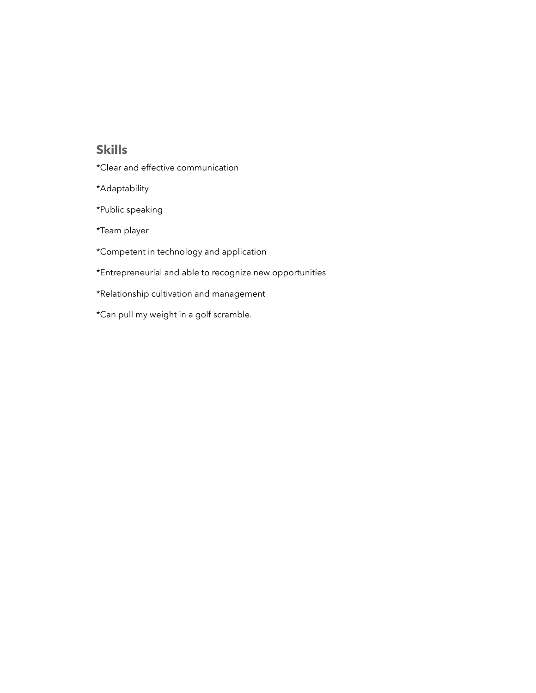## **Skills**

- \*Clear and effective communication
- \*Adaptability
- \*Public speaking
- \*Team player
- \*Competent in technology and application
- \*Entrepreneurial and able to recognize new opportunities
- \*Relationship cultivation and management
- \*Can pull my weight in a golf scramble.